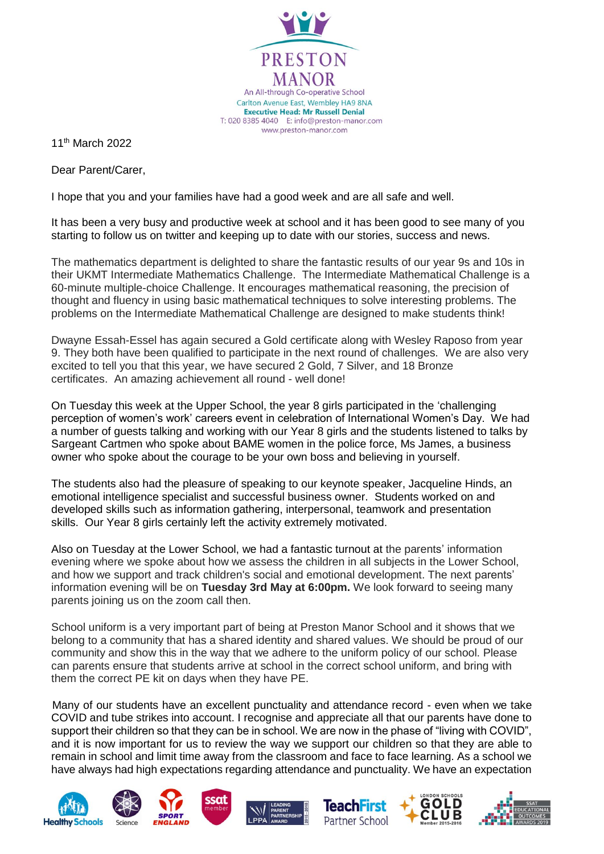

11th March 2022

Dear Parent/Carer,

I hope that you and your families have had a good week and are all safe and well.

It has been a very busy and productive week at school and it has been good to see many of you starting to follow us on twitter and keeping up to date with our stories, success and news.

The mathematics department is delighted to share the fantastic results of our year 9s and 10s in their UKMT Intermediate Mathematics Challenge. The Intermediate Mathematical Challenge is a 60-minute multiple-choice Challenge. It encourages mathematical reasoning, the precision of thought and fluency in using basic mathematical techniques to solve interesting problems. The problems on the Intermediate Mathematical Challenge are designed to make students think!

Dwayne Essah-Essel has again secured a Gold certificate along with Wesley Raposo from year 9. They both have been qualified to participate in the next round of challenges. We are also very excited to tell you that this year, we have secured 2 Gold, 7 Silver, and 18 Bronze certificates. An amazing achievement all round - well done!

On Tuesday this week at the Upper School, the year 8 girls participated in the 'challenging perception of women's work' careers event in celebration of International Women's Day. We had a number of guests talking and working with our Year 8 girls and the students listened to talks by Sargeant Cartmen who spoke about BAME women in the police force, Ms James, a business owner who spoke about the courage to be your own boss and believing in yourself.

The students also had the pleasure of speaking to our keynote speaker, Jacqueline Hinds, an emotional intelligence specialist and successful business owner. Students worked on and developed skills such as information gathering, interpersonal, teamwork and presentation skills. Our Year 8 girls certainly left the activity extremely motivated.

Also on Tuesday at the Lower School, we had a fantastic turnout at the parents' information evening where we spoke about how we assess the children in all subjects in the Lower School, and how we support and track children's social and emotional development. The next parents' information evening will be on **Tuesday 3rd May at 6:00pm.** We look forward to seeing many parents joining us on the zoom call then.

School uniform is a very important part of being at Preston Manor School and it shows that we belong to a community that has a shared identity and shared values. We should be proud of our community and show this in the way that we adhere to the uniform policy of our school. Please can parents ensure that students arrive at school in the correct school uniform, and bring with them the correct PE kit on days when they have PE.

Many of our students have an excellent punctuality and attendance record - even when we take COVID and tube strikes into account. I recognise and appreciate all that our parents have done to support their children so that they can be in school. We are now in the phase of "living with COVID", and it is now important for us to review the way we support our children so that they are able to remain in school and limit time away from the classroom and face to face learning. As a school we have always had high expectations regarding attendance and punctuality. We have an expectation